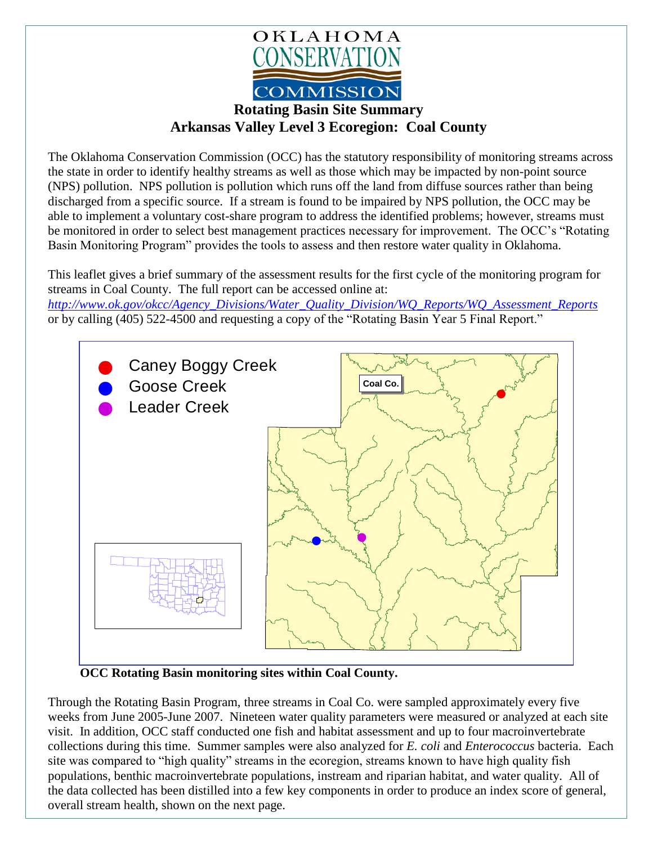

**Arkansas Valley Level 3 Ecoregion: Coal County**

The Oklahoma Conservation Commission (OCC) has the statutory responsibility of monitoring streams across the state in order to identify healthy streams as well as those which may be impacted by non-point source (NPS) pollution. NPS pollution is pollution which runs off the land from diffuse sources rather than being discharged from a specific source. If a stream is found to be impaired by NPS pollution, the OCC may be able to implement a voluntary cost-share program to address the identified problems; however, streams must be monitored in order to select best management practices necessary for improvement. The OCC's "Rotating Basin Monitoring Program" provides the tools to assess and then restore water quality in Oklahoma.

This leaflet gives a brief summary of the assessment results for the first cycle of the monitoring program for streams in Coal County. The full report can be accessed online at:

*[http://www.ok.gov/okcc/Agency\\_Divisions/Water\\_Quality\\_Division/WQ\\_Reports/WQ\\_Assessment\\_Reports](http://www.ok.gov/okcc/Agency_Divisions/Water_Quality_Division/WQ_Reports/WQ_Assessment_Reports)* or by calling (405) 522-4500 and requesting a copy of the "Rotating Basin Year 5 Final Report."



**OCC Rotating Basin monitoring sites within Coal County.**

Through the Rotating Basin Program, three streams in Coal Co. were sampled approximately every five weeks from June 2005-June 2007. Nineteen water quality parameters were measured or analyzed at each site visit. In addition, OCC staff conducted one fish and habitat assessment and up to four macroinvertebrate collections during this time. Summer samples were also analyzed for *E. coli* and *Enterococcus* bacteria. Each site was compared to "high quality" streams in the ecoregion, streams known to have high quality fish populations, benthic macroinvertebrate populations, instream and riparian habitat, and water quality. All of the data collected has been distilled into a few key components in order to produce an index score of general, overall stream health, shown on the next page.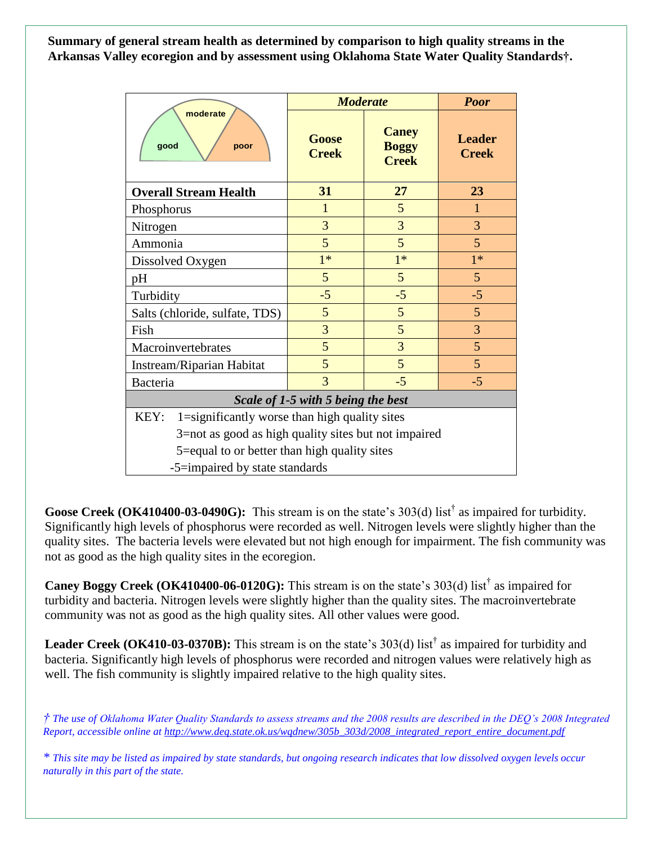**Summary of general stream health as determined by comparison to high quality streams in the Arkansas Valley ecoregion and by assessment using Oklahoma State Water Quality Standards†.**

| moderate<br>good<br>poor                              | <b>Moderate</b>       |                                              | <b>Poor</b>                   |
|-------------------------------------------------------|-----------------------|----------------------------------------------|-------------------------------|
|                                                       | Goose<br><b>Creek</b> | <b>Caney</b><br><b>Boggy</b><br><b>Creek</b> | <b>Leader</b><br><b>Creek</b> |
| <b>Overall Stream Health</b>                          | 31                    | 27                                           | 23                            |
| Phosphorus                                            | 1                     | 5                                            | $\mathbf{1}$                  |
| Nitrogen                                              | 3                     | 3                                            | 3                             |
| Ammonia                                               | 5                     | 5                                            | 5                             |
| Dissolved Oxygen                                      | $1*$                  | $1*$                                         | $1*$                          |
| pH                                                    | 5                     | 5                                            | 5 <sup>5</sup>                |
| Turbidity                                             | $-5$                  | $-5$                                         | $-5$                          |
| Salts (chloride, sulfate, TDS)                        | 5                     | 5                                            | 5                             |
| Fish                                                  | $\overline{3}$        | 5                                            | $\overline{3}$                |
| Macroinvertebrates                                    | 5                     | 3                                            | 5                             |
| Instream/Riparian Habitat                             | 5                     | $5\overline{)}$                              | 5                             |
| Bacteria                                              | $\overline{3}$        | $-5$                                         | $-5$                          |
| Scale of 1-5 with 5 being the best                    |                       |                                              |                               |
| KEY:<br>1=significantly worse than high quality sites |                       |                                              |                               |
| 3=not as good as high quality sites but not impaired  |                       |                                              |                               |
| 5=equal to or better than high quality sites          |                       |                                              |                               |
| -5=impaired by state standards                        |                       |                                              |                               |

Goose Creek (OK410400-03-0490G): This stream is on the state's 303(d) list<sup>†</sup> as impaired for turbidity. Significantly high levels of phosphorus were recorded as well. Nitrogen levels were slightly higher than the quality sites. The bacteria levels were elevated but not high enough for impairment. The fish community was not as good as the high quality sites in the ecoregion.

**Caney Boggy Creek (OK410400-06-0120G):** This stream is on the state's 303(d) list† as impaired for turbidity and bacteria. Nitrogen levels were slightly higher than the quality sites. The macroinvertebrate community was not as good as the high quality sites. All other values were good.

Leader Creek (OK410-03-0370B): This stream is on the state's 303(d) list<sup>†</sup> as impaired for turbidity and bacteria. Significantly high levels of phosphorus were recorded and nitrogen values were relatively high as well. The fish community is slightly impaired relative to the high quality sites.

*† The use of Oklahoma Water Quality Standards to assess streams and the 2008 results are described in the DEQ's 2008 Integrated Report, accessible online at [http://www.deq.state.ok.us/wqdnew/305b\\_303d/2008\\_integrated\\_report\\_entire\\_document.pdf](http://www.deq.state.ok.us/wqdnew/305b_303d/2008_integrated_report_entire_document.pdf)*

*\* This site may be listed as impaired by state standards, but ongoing research indicates that low dissolved oxygen levels occur naturally in this part of the state.*